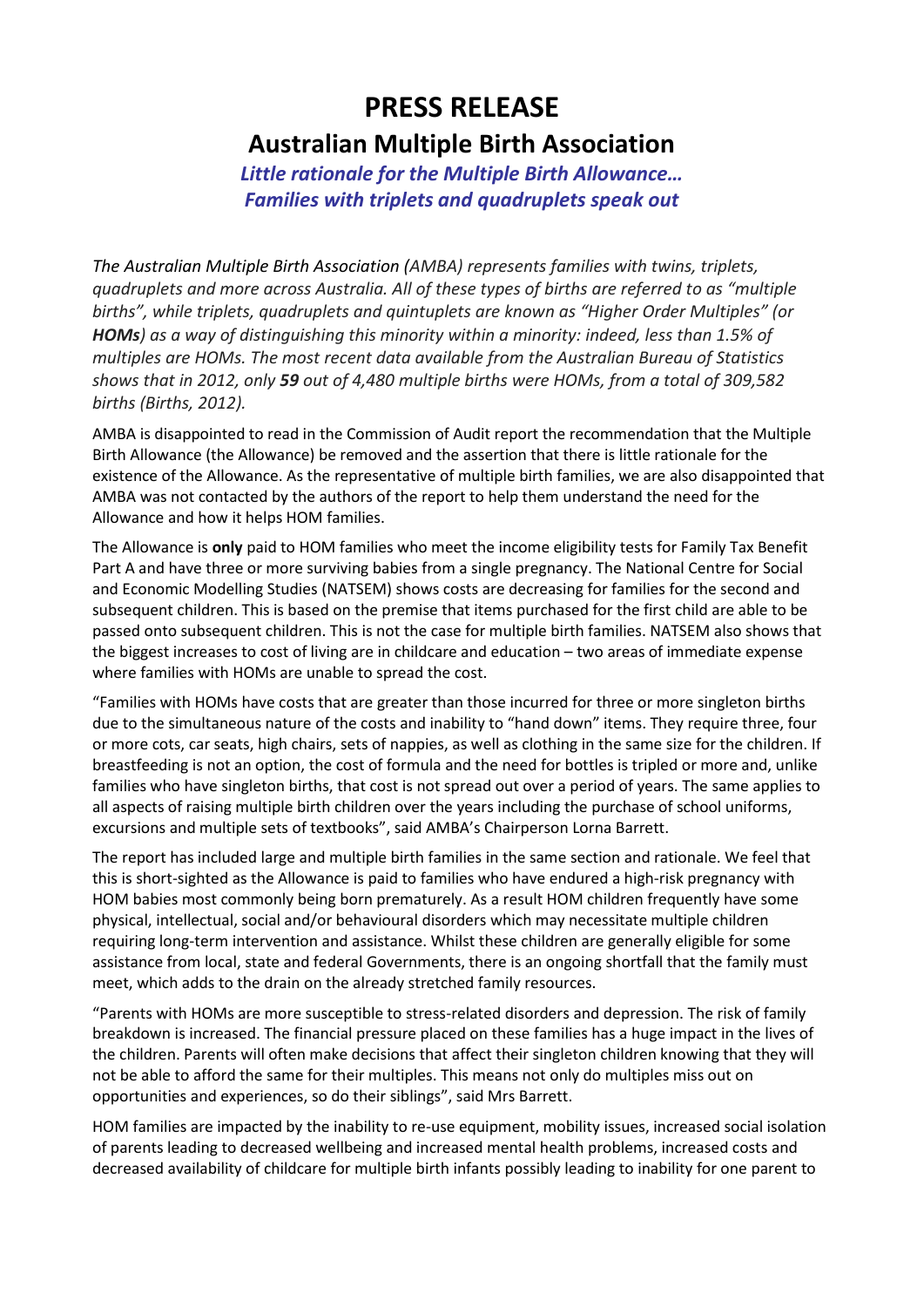## **PRESS RELEASE Australian Multiple Birth Association**

*Little rationale for the Multiple Birth Allowance… Families with triplets and quadruplets speak out*

*The Australian Multiple Birth Association (AMBA) represents families with twins, triplets, quadruplets and more across Australia. All of these types of births are referred to as "multiple births", while triplets, quadruplets and quintuplets are known as "Higher Order Multiples" (or HOMs) as a way of distinguishing this minority within a minority: indeed, less than 1.5% of multiples are HOMs. The most recent data available from the Australian Bureau of Statistics shows that in 2012, only 59 out of 4,480 multiple births were HOMs, from a total of 309,582 births (Births, 2012).*

AMBA is disappointed to read in the Commission of Audit report the recommendation that the Multiple Birth Allowance (the Allowance) be removed and the assertion that there is little rationale for the existence of the Allowance. As the representative of multiple birth families, we are also disappointed that AMBA was not contacted by the authors of the report to help them understand the need for the Allowance and how it helps HOM families.

The Allowance is **only** paid to HOM families who meet the income eligibility tests for Family Tax Benefit Part A and have three or more surviving babies from a single pregnancy. The National Centre for Social and Economic Modelling Studies (NATSEM) shows costs are decreasing for families for the second and subsequent children. This is based on the premise that items purchased for the first child are able to be passed onto subsequent children. This is not the case for multiple birth families. NATSEM also shows that the biggest increases to cost of living are in childcare and education – two areas of immediate expense where families with HOMs are unable to spread the cost.

"Families with HOMs have costs that are greater than those incurred for three or more singleton births due to the simultaneous nature of the costs and inability to "hand down" items. They require three, four or more cots, car seats, high chairs, sets of nappies, as well as clothing in the same size for the children. If breastfeeding is not an option, the cost of formula and the need for bottles is tripled or more and, unlike families who have singleton births, that cost is not spread out over a period of years. The same applies to all aspects of raising multiple birth children over the years including the purchase of school uniforms, excursions and multiple sets of textbooks", said AMBA's Chairperson Lorna Barrett.

The report has included large and multiple birth families in the same section and rationale. We feel that this is short-sighted as the Allowance is paid to families who have endured a high-risk pregnancy with HOM babies most commonly being born prematurely. As a result HOM children frequently have some physical, intellectual, social and/or behavioural disorders which may necessitate multiple children requiring long-term intervention and assistance. Whilst these children are generally eligible for some assistance from local, state and federal Governments, there is an ongoing shortfall that the family must meet, which adds to the drain on the already stretched family resources.

"Parents with HOMs are more susceptible to stress-related disorders and depression. The risk of family breakdown is increased. The financial pressure placed on these families has a huge impact in the lives of the children. Parents will often make decisions that affect their singleton children knowing that they will not be able to afford the same for their multiples. This means not only do multiples miss out on opportunities and experiences, so do their siblings", said Mrs Barrett.

HOM families are impacted by the inability to re-use equipment, mobility issues, increased social isolation of parents leading to decreased wellbeing and increased mental health problems, increased costs and decreased availability of childcare for multiple birth infants possibly leading to inability for one parent to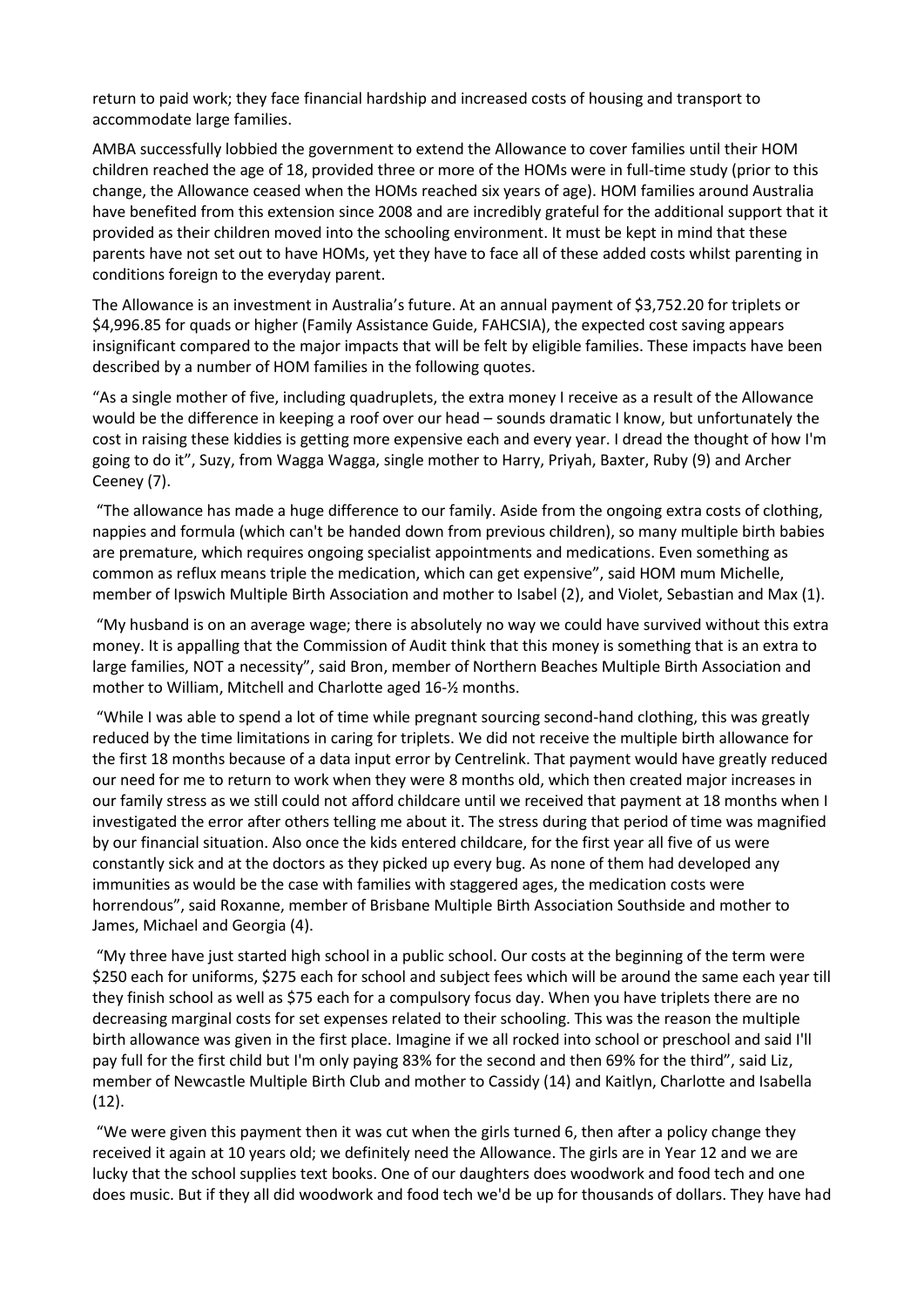return to paid work; they face financial hardship and increased costs of housing and transport to accommodate large families.

AMBA successfully lobbied the government to extend the Allowance to cover families until their HOM children reached the age of 18, provided three or more of the HOMs were in full-time study (prior to this change, the Allowance ceased when the HOMs reached six years of age). HOM families around Australia have benefited from this extension since 2008 and are incredibly grateful for the additional support that it provided as their children moved into the schooling environment. It must be kept in mind that these parents have not set out to have HOMs, yet they have to face all of these added costs whilst parenting in conditions foreign to the everyday parent.

The Allowance is an investment in Australia's future. At an annual payment of \$3,752.20 for triplets or \$4,996.85 for quads or higher (Family Assistance Guide, FAHCSIA), the expected cost saving appears insignificant compared to the major impacts that will be felt by eligible families. These impacts have been described by a number of HOM families in the following quotes.

"As a single mother of five, including quadruplets, the extra money I receive as a result of the Allowance would be the difference in keeping a roof over our head – sounds dramatic I know, but unfortunately the cost in raising these kiddies is getting more expensive each and every year. I dread the thought of how I'm going to do it", Suzy, from Wagga Wagga, single mother to Harry, Priyah, Baxter, Ruby (9) and Archer Ceeney (7).

"The allowance has made a huge difference to our family. Aside from the ongoing extra costs of clothing, nappies and formula (which can't be handed down from previous children), so many multiple birth babies are premature, which requires ongoing specialist appointments and medications. Even something as common as reflux means triple the medication, which can get expensive", said HOM mum Michelle, member of Ipswich Multiple Birth Association and mother to Isabel (2), and Violet, Sebastian and Max (1).

"My husband is on an average wage; there is absolutely no way we could have survived without this extra money. It is appalling that the Commission of Audit think that this money is something that is an extra to large families, NOT a necessity", said Bron, member of Northern Beaches Multiple Birth Association and mother to William, Mitchell and Charlotte aged 16-½ months.

"While I was able to spend a lot of time while pregnant sourcing second-hand clothing, this was greatly reduced by the time limitations in caring for triplets. We did not receive the multiple birth allowance for the first 18 months because of a data input error by Centrelink. That payment would have greatly reduced our need for me to return to work when they were 8 months old, which then created major increases in our family stress as we still could not afford childcare until we received that payment at 18 months when I investigated the error after others telling me about it. The stress during that period of time was magnified by our financial situation. Also once the kids entered childcare, for the first year all five of us were constantly sick and at the doctors as they picked up every bug. As none of them had developed any immunities as would be the case with families with staggered ages, the medication costs were horrendous", said Roxanne, member of Brisbane Multiple Birth Association Southside and mother to James, Michael and Georgia (4).

"My three have just started high school in a public school. Our costs at the beginning of the term were \$250 each for uniforms, \$275 each for school and subject fees which will be around the same each year till they finish school as well as \$75 each for a compulsory focus day. When you have triplets there are no decreasing marginal costs for set expenses related to their schooling. This was the reason the multiple birth allowance was given in the first place. Imagine if we all rocked into school or preschool and said I'll pay full for the first child but I'm only paying 83% for the second and then 69% for the third", said Liz, member of Newcastle Multiple Birth Club and mother to Cassidy (14) and Kaitlyn, Charlotte and Isabella (12).

"We were given this payment then it was cut when the girls turned 6, then after a policy change they received it again at 10 years old; we definitely need the Allowance. The girls are in Year 12 and we are lucky that the school supplies text books. One of our daughters does woodwork and food tech and one does music. But if they all did woodwork and food tech we'd be up for thousands of dollars. They have had